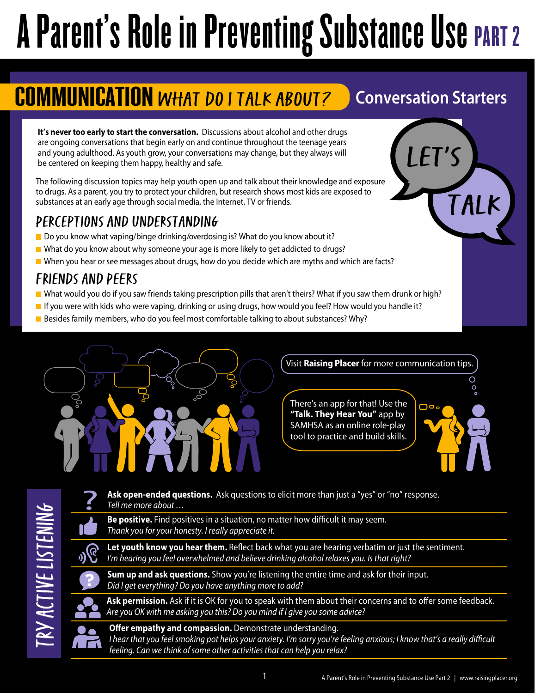# A Parent's Role in Preventing Substance Use PART 2

## **COMMUNICATION WHAT DO I TALK ABOUT?** Conversation Starters

Let's

Talk

**It's never too early to start the conversation.** Discussions about alcohol and other drugs are ongoing conversations that begin early on and continue throughout the teenage years and young adulthood. As youth grow, your conversations may change, but they always will be centered on keeping them happy, healthy and safe.

The following discussion topics may help youth open up and talk about their knowledge and exposure to drugs. As a parent, you try to protect your children, but research shows most kids are exposed to substances at an early age through social media, the Internet, TV or friends.

### Perceptions and Understanding

- Do you know what vaping/binge drinking/overdosing is? What do you know about it?
- $\blacksquare$  What do you know about why someone your age is more likely to get addicted to drugs?
- When you hear or see messages about drugs, how do you decide which are myths and which are facts?

### Friends and PeErs

- What would you do if you saw friends taking prescription pills that aren't theirs? What if you saw them drunk or high?
- If you were with kids who were vaping, drinking or using drugs, how would you feel? How would you handle it?
- **Besides family members, who do you feel most comfortable talking to about substances? Why?**



Visit **[Raising Placer](www.raisingplacer.org)** for more communication tips.

There's an app for that! Use the **["Talk. They Hear You"](https://www.samhsa.gov/talk-they-hear-you/mobile-application)** app by SAMHSA as an online role-play tool to practice and build skills.



**Ask open-ended questions.** Ask questions to elicit more than just a "yes" or "no" response. *Tell me more about …* 

Be positive. Find positives in a situation, no matter how difficult it may seem. *Thank you for your honesty. I really appreciate it.*

**Let youth know you hear them.** Reflect back what you are hearing verbatim or just the sentiment. *I'm hearing you feel overwhelmed and believe drinking alcohol relaxes you. Is that right?*

**Sum up and ask questions.** Show you're listening the entire time and ask for their input. *Did I get everything? Do you have anything more to add?*

Ask permission. Ask if it is OK for you to speak with them about their concerns and to offer some feedback. *Are you OK with me asking you this? Do you mind if I give you some advice?*



**Offer empathy and compassion.** Demonstrate understanding. *I hear that you feel smoking pot helps your anxiety. I'm sorry you're feeling anxious; I know that's a really difficult feeling. Can we think of some other activities that can help you relax?*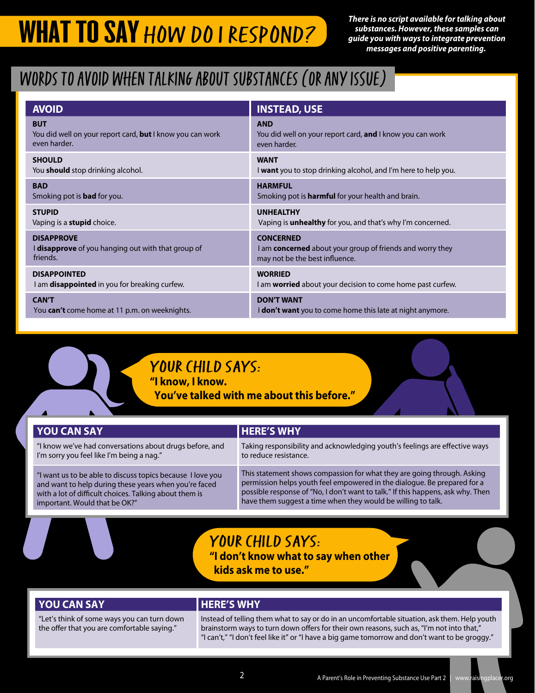*There is no script available for talking about substances. However, these samples can guide you with ways to integrate prevention messages and positive parenting.* 

### Words to avoid when talking about substances (or any isSue)

| <b>AVOID</b>                                                     | <b>INSTEAD, USE</b>                                               |
|------------------------------------------------------------------|-------------------------------------------------------------------|
| <b>BUT</b>                                                       | <b>AND</b>                                                        |
| You did well on your report card, <b>but</b> I know you can work | You did well on your report card, and I know you can work         |
| even harder.                                                     | even harder.                                                      |
| <b>SHOULD</b>                                                    | <b>WANT</b>                                                       |
| You <b>should</b> stop drinking alcohol.                         | I want you to stop drinking alcohol, and I'm here to help you.    |
| <b>BAD</b>                                                       | <b>HARMFUL</b>                                                    |
| Smoking pot is <b>bad</b> for you.                               | Smoking pot is <b>harmful</b> for your health and brain.          |
| <b>STUPID</b>                                                    | <b>UNHEALTHY</b>                                                  |
| Vaping is a <b>stupid</b> choice.                                | Vaping is <b>unhealthy</b> for you, and that's why I'm concerned. |
| <b>DISAPPROVE</b>                                                | <b>CONCERNED</b>                                                  |
| I disapprove of you hanging out with that group of               | I am <b>concerned</b> about your group of friends and worry they  |
| friends.                                                         | may not be the best influence.                                    |
| <b>DISAPPOINTED</b>                                              | <b>WORRIED</b>                                                    |
| I am disappointed in you for breaking curfew.                    | I am <b>worried</b> about your decision to come home past curfew. |
| <b>CAN'T</b>                                                     | <b>DON'T WANT</b>                                                 |
| You can't come home at 11 p.m. on weeknights.                    | <b>I don't want</b> you to come home this late at night anymore.  |



YOUR CHILD SAYS: **"I know, I know.**

 **You've talked with me about this before."**

| <b>YOU CAN SAY</b>                                         | <b>HERE'S WHY</b>                                                               |
|------------------------------------------------------------|---------------------------------------------------------------------------------|
| "I know we've had conversations about drugs before, and    | Taking responsibility and acknowledging youth's feelings are effective ways     |
| I'm sorry you feel like I'm being a nag."                  | to reduce resistance.                                                           |
| "I want us to be able to discuss topics because I love you | This statement shows compassion for what they are going through. Asking         |
| and want to help during these years when you're faced      | permission helps youth feel empowered in the dialogue. Be prepared for a        |
| with a lot of difficult choices. Talking about them is     | possible response of "No, I don't want to talk." If this happens, ask why. Then |
| important. Would that be OK?"                              | have them suggest a time when they would be willing to talk.                    |

### YOUR CHILD SAYS:

**"I don't know what to say when other kids ask me to use."**

#### **YOU CAN SAY CONSUMING THERE'S WHY**

"Let's think of some ways you can turn down the offer that you are comfortable saying."

Instead of telling them what to say or do in an uncomfortable situation, ask them. Help youth brainstorm ways to turn down offers for their own reasons, such as, "I'm not into that," "I can't," "I don't feel like it" or "I have a big game tomorrow and don't want to be groggy."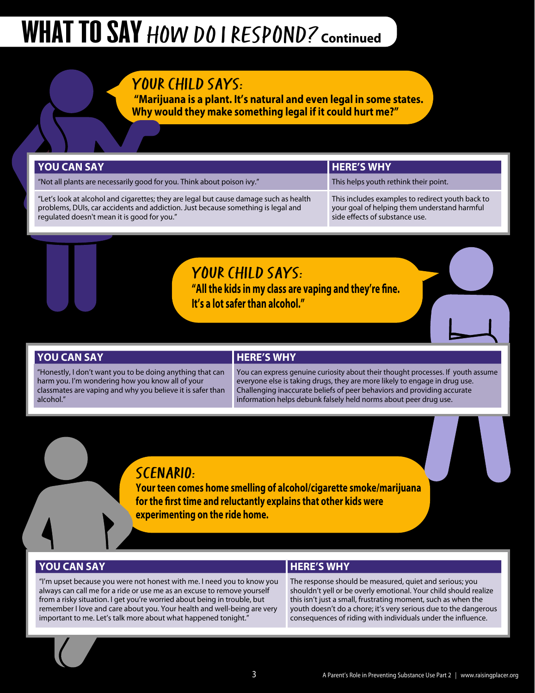## WHAT TO SAY HOW DO I RESPOND? **Continued**

### YOUR CHILD SAYS:

 **"Marijuana is a plant. It's natural and even legal in some states. Why would they make something legal if it could hurt me?"**

#### **YOU CAN SAY HERE'S WHY**

"Not all plants are necessarily good for you. Think about poison ivy." This helps youth rethink their point.

"Let's look at alcohol and cigarettes; they are legal but cause damage such as health problems, DUIs, car accidents and addiction. Just because something is legal and regulated doesn't mean it is good for you."

This includes examples to redirect youth back to your goal of helping them understand harmful side effects of substance use.

### YOUR CHILD SAYS:

**"All the kids in my class are vaping and they're fine. It's a lot safer than alcohol."**

#### **YOU CAN SAY WE CAN SAY HERE'S WHY**

"Honestly, I don't want you to be doing anything that can harm you. I'm wondering how you know all of your classmates are vaping and why you believe it is safer than alcohol."

You can express genuine curiosity about their thought processes. If youth assume everyone else is taking drugs, they are more likely to engage in drug use. Challenging inaccurate beliefs of peer behaviors and providing accurate information helps debunk falsely held norms about peer drug use.

### ScenArio:

**Your teen comes home smelling of alcohol/cigarette smoke/marijuana for the first time and reluctantly explains that other kids were experimenting on the ride home.**

#### **YOU CAN SAY HERE'S WHY**

"I'm upset because you were not honest with me. I need you to know you always can call me for a ride or use me as an excuse to remove yourself from a risky situation. I get you're worried about being in trouble, but remember I love and care about you. Your health and well-being are very important to me. Let's talk more about what happened tonight."

The response should be measured, quiet and serious; you shouldn't yell or be overly emotional. Your child should realize this isn't just a small, frustrating moment, such as when the youth doesn't do a chore; it's very serious due to the dangerous consequences of riding with individuals under the influence.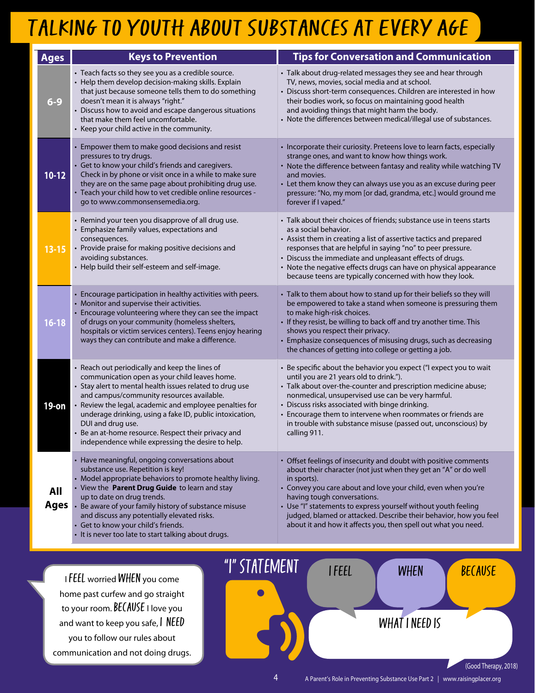## TALKING TO YOUTH ABOUT SUBSTANCES AT EVERY AGE

| <b>Ages</b>               | <b>Keys to Prevention</b>                                                                                                                                                                                                                                                                                                                                                                                                                                | <b>Tips for Conversation and Communication</b>                                                                                                                                                                                                                                                                                                                                                                                                              |
|---------------------------|----------------------------------------------------------------------------------------------------------------------------------------------------------------------------------------------------------------------------------------------------------------------------------------------------------------------------------------------------------------------------------------------------------------------------------------------------------|-------------------------------------------------------------------------------------------------------------------------------------------------------------------------------------------------------------------------------------------------------------------------------------------------------------------------------------------------------------------------------------------------------------------------------------------------------------|
| $6 - 9$                   | • Teach facts so they see you as a credible source.<br>• Help them develop decision-making skills. Explain<br>that just because someone tells them to do something<br>doesn't mean it is always "right."<br>• Discuss how to avoid and escape dangerous situations<br>that make them feel uncomfortable.<br>• Keep your child active in the community.                                                                                                   | • Talk about drug-related messages they see and hear through<br>TV, news, movies, social media and at school.<br>• Discuss short-term consequences. Children are interested in how<br>their bodies work, so focus on maintaining good health<br>and avoiding things that might harm the body.<br>• Note the differences between medical/illegal use of substances.                                                                                          |
| $10-12$                   | • Empower them to make good decisions and resist<br>pressures to try drugs.<br>• Get to know your child's friends and caregivers.<br>Check in by phone or visit once in a while to make sure<br>they are on the same page about prohibiting drug use.<br>Teach your child how to vet credible online resources -<br>go to www.commonsensemedia.org.                                                                                                      | • Incorporate their curiosity. Preteens love to learn facts, especially<br>strange ones, and want to know how things work.<br>• Note the difference between fantasy and reality while watching TV<br>and movies.<br>• Let them know they can always use you as an excuse during peer<br>pressure: "No, my mom [or dad, grandma, etc.] would ground me<br>forever if I vaped."                                                                               |
| $13 - 15$                 | • Remind your teen you disapprove of all drug use.<br>• Emphasize family values, expectations and<br>consequences.<br>• Provide praise for making positive decisions and<br>avoiding substances.<br>• Help build their self-esteem and self-image.                                                                                                                                                                                                       | • Talk about their choices of friends; substance use in teens starts<br>as a social behavior.<br>• Assist them in creating a list of assertive tactics and prepared<br>responses that are helpful in saying "no" to peer pressure.<br>• Discuss the immediate and unpleasant effects of drugs.<br>• Note the negative effects drugs can have on physical appearance<br>because teens are typically concerned with how they look.                            |
| $16 - 18$                 | • Encourage participation in healthy activities with peers.<br>Monitor and supervise their activities.<br>Encourage volunteering where they can see the impact<br>of drugs on your community (homeless shelters,<br>hospitals or victim services centers). Teens enjoy hearing<br>ways they can contribute and make a difference.                                                                                                                        | • Talk to them about how to stand up for their beliefs so they will<br>be empowered to take a stand when someone is pressuring them<br>to make high-risk choices.<br>• If they resist, be willing to back off and try another time. This<br>shows you respect their privacy.<br>• Emphasize consequences of misusing drugs, such as decreasing<br>the chances of getting into college or getting a job.                                                     |
| 19-on                     | Reach out periodically and keep the lines of<br>communication open as your child leaves home.<br>Stay alert to mental health issues related to drug use<br>and campus/community resources available.<br>Review the legal, academic and employee penalties for<br>underage drinking, using a fake ID, public intoxication,<br>DUI and drug use.<br>Be an at-home resource. Respect their privacy and<br>independence while expressing the desire to help. | Be specific about the behavior you expect ("I expect you to wait<br>until you are 21 years old to drink.").<br>· Talk about over-the-counter and prescription medicine abuse;<br>nonmedical, unsupervised use can be very harmful.<br>• Discuss risks associated with binge drinking.<br>• Encourage them to intervene when roommates or friends are<br>in trouble with substance misuse (passed out, unconscious) by<br>calling 911.                       |
| <b>All</b><br><b>Ages</b> | Have meaningful, ongoing conversations about<br>substance use. Repetition is key!<br>• Model appropriate behaviors to promote healthy living.<br>View the Parent Drug Guide to learn and stay<br>up to date on drug trends.<br>Be aware of your family history of substance misuse<br>and discuss any potentially elevated risks.<br>• Get to know your child's friends.<br>It is never too late to start talking about drugs.                           | • Offset feelings of insecurity and doubt with positive comments<br>about their character (not just when they get an "A" or do well<br>in sports).<br>• Convey you care about and love your child, even when you're<br>having tough conversations.<br>• Use "I" statements to express yourself without youth feeling<br>judged, blamed or attacked. Describe their behavior, how you feel<br>about it and how it affects you, then spell out what you need. |

I FEEL worried WHEN you come home past curfew and go straight to your room. BECAUSE I love you and want to keep you safe, I NEED you to follow our rules about communication and not doing drugs.

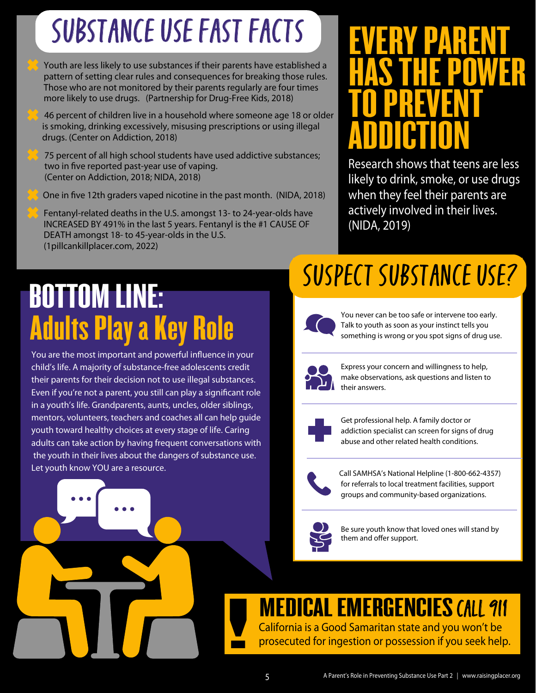# SuBstance Use Fast Facts

Youth are less likely to use substances if their parents have established a pattern of setting clear rules and consequences for breaking those rules. Those who are not monitored by their parents regularly are four times more likely to use drugs. (Partnership for Drug-Free Kids, 2018)

 46 percent of children live in a household where someone age 18 or older is smoking, drinking excessively, misusing prescriptions or using illegal drugs. (Center on Addiction, 2018)

75 percent of all high school students have used addictive substances; two in five reported past-year use of vaping. (Center on Addiction, 2018; NIDA, 2018)

One in five 12th graders vaped nicotine in the past month. (NIDA, 2018)

Fentanyl-related deaths in the U.S. amongst 13- to 24-year-olds have INCREASED BY 491% in the last 5 years. Fentanyl is the #1 CAUSE OF DEATH amongst 18- to 45-year-olds in the U.S. (1pillcankillplacer.com, 2022)

# Adults Play a Key Role BOTTOM LINE:

You are the most important and powerful influence in your child's life. A majority of substance-free adolescents credit their parents for their decision not to use illegal substances. Even if you're not a parent, you still can play a significant role in a youth's life. Grandparents, aunts, uncles, older siblings, mentors, volunteers, teachers and coaches all can help guide youth toward healthy choices at every stage of life. Caring adults can take action by having frequent conversations with the youth in their lives about the dangers of substance use. Let youth know YOU are a resource.

## Suspect Substance use?

(NIDA, 2019)



You never can be too safe or intervene too early. Talk to youth as soon as your instinct tells you something is wrong or you spot signs of drug use.



Express your concern and willingness to help, make observations, ask questions and listen to their answers.



Get professional help. A family doctor or addiction specialist can screen for signs of drug abuse and other related health conditions.



Call SAMHSA's National Helpline (1-800-662-4357) for referrals to local treatment facilities, support groups and community-based organizations.



Be sure youth know that loved ones will stand by them and offer support.

# **MEDICAL EMERGENCIES CALL 911**<br>California is a Good Samaritan state and you won't be

Call SAMHSA's National Helpline (1-800-662-4357)<br>for referrals to local treatment facilities, support<br>groups and community-based organizations.<br>Be sure youth know that loved ones will stand by<br>them and offer support.<br>**Refe** 

## EVERY PARENT<br>HAS THE POWER **HAS THE PUT<br>TO PREVENT TU PREVENI<br>ADDICTION** Research shows that teens are less likely to drink, smoke, or use drugs when they feel their parents are actively involved in their lives.

EVERY PARENT